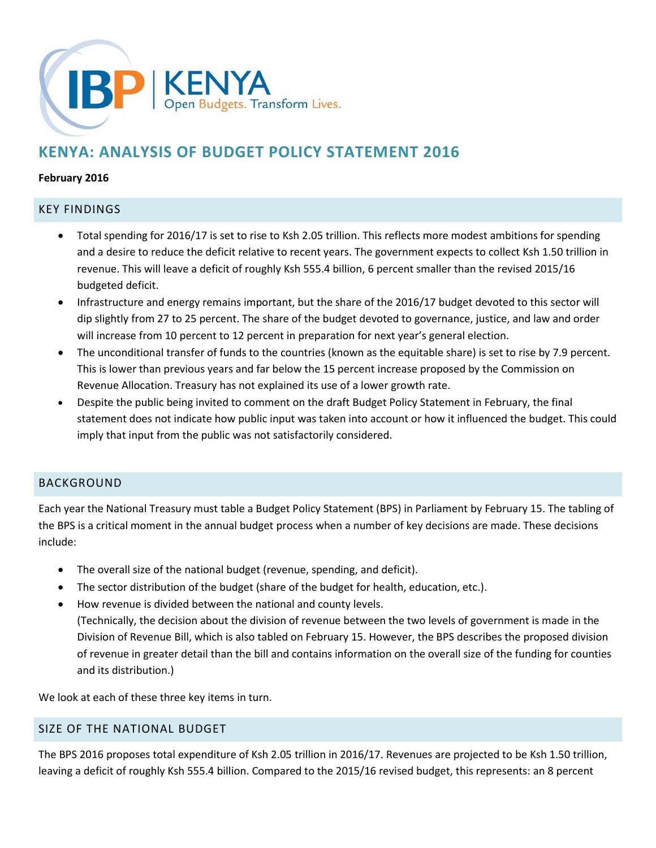

# **KENYA: ANALYSIS OF BUDGET POLICY STATEMENT 2016**

#### **February 2016**

#### KEY FINDINGS

- Total spending for 2016/17 is set to rise to Ksh 2.05 trillion. This reflects more modest ambitions for spending and a desire to reduce the deficit relative to recent years. The government expects to collect Ksh 1.50 trillion in revenue. This will leave a deficit of roughly Ksh 555.4 billion, 6 percent smaller than the revised 2015/16 budgeted deficit.
- Infrastructure and energy remains important, but the share of the 2016/17 budget devoted to this sector will dip slightly from 27 to 25 percent. The share of the budget devoted to governance, justice, and law and order will increase from 10 percent to 12 percent in preparation for next year's general election.
- The unconditional transfer of funds to the countries (known as the equitable share) is set to rise by 7.9 percent. This is lower than previous years and far below the 15 percent increase proposed by the Commission on Revenue Allocation. Treasury has not explained its use of a lower growth rate.
- Despite the public being invited to comment on the draft Budget Policy Statement in February, the final statement does not indicate how public input was taken into account or how it influenced the budget. This could imply that input from the public was not satisfactorily considered.

#### BACKGROUND

Each year the National Treasury must table a Budget Policy Statement (BPS) in Parliament by February 15. The tabling of the BPS is a critical moment in the annual budget process when a number of key decisions are made. These decisions include:

- The overall size of the national budget (revenue, spending, and deficit).
- The sector distribution of the budget (share of the budget for health, education, etc.).
- How revenue is divided between the national and county levels. (Technically, the decision about the division of revenue between the two levels of government is made in the Division of Revenue Bill, which is also tabled on February 15. However, the BPS describes the proposed division of revenue in greater detail than the bill and contains information on the overall size of the funding for counties and its distribution.)

We look at each of these three key items in turn.

## SIZE OF THE NATIONAL BUDGET

The BPS 2016 proposes total expenditure of Ksh 2.05 trillion in 2016/17. Revenues are projected to be Ksh 1.50 trillion, leaving a deficit of roughly Ksh 555.4 billion. Compared to the 2015/16 revised budget, this represents: an 8 percent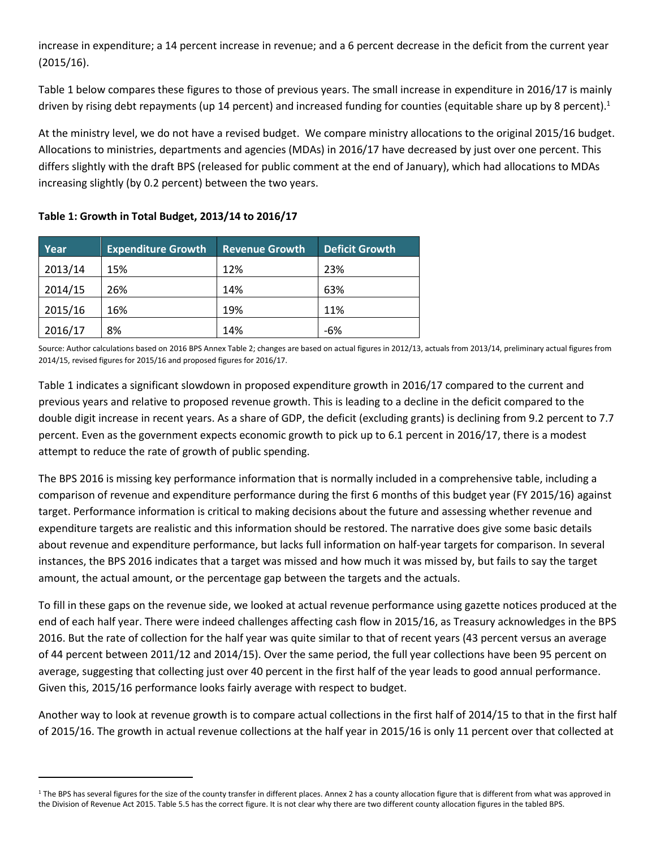increase in expenditure; a 14 percent increase in revenue; and a 6 percent decrease in the deficit from the current year (2015/16).

Table 1 below compares these figures to those of previous years. The small increase in expenditure in 2016/17 is mainly driven by rising debt repayments (up 14 percent) and increased funding for counties (equitable share up by 8 percent).<sup>1</sup>

At the ministry level, we do not have a revised budget. We compare ministry allocations to the original 2015/16 budget. Allocations to ministries, departments and agencies (MDAs) in 2016/17 have decreased by just over one percent. This differs slightly with the draft BPS (released for public comment at the end of January), which had allocations to MDAs increasing slightly (by 0.2 percent) between the two years.

| Year    | <b>Expenditure Growth</b> | <b>Revenue Growth</b> | <b>Deficit Growth</b> |
|---------|---------------------------|-----------------------|-----------------------|
| 2013/14 | 15%                       | 12%                   | 23%                   |
| 2014/15 | 26%                       | 14%                   | 63%                   |
| 2015/16 | 16%                       | 19%                   | 11%                   |
| 2016/17 | 8%                        | 14%                   | $-6%$                 |

#### **Table 1: Growth in Total Budget, 2013/14 to 2016/17**

<u>.</u>

Source: Author calculations based on 2016 BPS Annex Table 2; changes are based on actual figures in 2012/13, actuals from 2013/14, preliminary actual figures from 2014/15, revised figures for 2015/16 and proposed figures for 2016/17.

Table 1 indicates a significant slowdown in proposed expenditure growth in 2016/17 compared to the current and previous years and relative to proposed revenue growth. This is leading to a decline in the deficit compared to the double digit increase in recent years. As a share of GDP, the deficit (excluding grants) is declining from 9.2 percent to 7.7 percent. Even as the government expects economic growth to pick up to 6.1 percent in 2016/17, there is a modest attempt to reduce the rate of growth of public spending.

The BPS 2016 is missing key performance information that is normally included in a comprehensive table, including a comparison of revenue and expenditure performance during the first 6 months of this budget year (FY 2015/16) against target. Performance information is critical to making decisions about the future and assessing whether revenue and expenditure targets are realistic and this information should be restored. The narrative does give some basic details about revenue and expenditure performance, but lacks full information on half-year targets for comparison. In several instances, the BPS 2016 indicates that a target was missed and how much it was missed by, but fails to say the target amount, the actual amount, or the percentage gap between the targets and the actuals.

To fill in these gaps on the revenue side, we looked at actual revenue performance using gazette notices produced at the end of each half year. There were indeed challenges affecting cash flow in 2015/16, as Treasury acknowledges in the BPS 2016. But the rate of collection for the half year was quite similar to that of recent years (43 percent versus an average of 44 percent between 2011/12 and 2014/15). Over the same period, the full year collections have been 95 percent on average, suggesting that collecting just over 40 percent in the first half of the year leads to good annual performance. Given this, 2015/16 performance looks fairly average with respect to budget.

Another way to look at revenue growth is to compare actual collections in the first half of 2014/15 to that in the first half of 2015/16. The growth in actual revenue collections at the half year in 2015/16 is only 11 percent over that collected at

<sup>&</sup>lt;sup>1</sup> The BPS has several figures for the size of the county transfer in different places. Annex 2 has a county allocation figure that is different from what was approved in the Division of Revenue Act 2015. Table 5.5 has the correct figure. It is not clear why there are two different county allocation figures in the tabled BPS.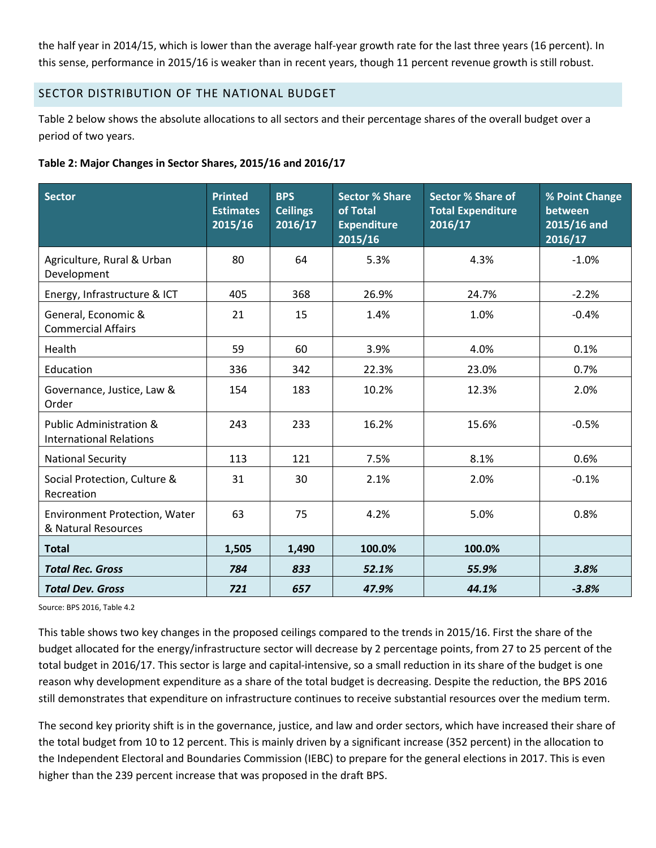the half year in 2014/15, which is lower than the average half-year growth rate for the last three years (16 percent). In this sense, performance in 2015/16 is weaker than in recent years, though 11 percent revenue growth is still robust.

#### SECTOR DISTRIBUTION OF THE NATIONAL BUDGET

Table 2 below shows the absolute allocations to all sectors and their percentage shares of the overall budget over a period of two years.

#### **Table 2: Major Changes in Sector Shares, 2015/16 and 2016/17**

| Sector                                                               | <b>Printed</b><br><b>Estimates</b><br>2015/16 | <b>BPS</b><br><b>Ceilings</b><br>2016/17 | <b>Sector % Share</b><br>of Total<br><b>Expenditure</b><br>2015/16 | <b>Sector % Share of</b><br><b>Total Expenditure</b><br>2016/17 | % Point Change<br>between<br>2015/16 and<br>2016/17 |
|----------------------------------------------------------------------|-----------------------------------------------|------------------------------------------|--------------------------------------------------------------------|-----------------------------------------------------------------|-----------------------------------------------------|
| Agriculture, Rural & Urban<br>Development                            | 80                                            | 64                                       | 5.3%                                                               | 4.3%                                                            | $-1.0%$                                             |
| Energy, Infrastructure & ICT                                         | 405                                           | 368                                      | 26.9%                                                              | 24.7%                                                           | $-2.2%$                                             |
| General, Economic &<br><b>Commercial Affairs</b>                     | 21                                            | 15                                       | 1.4%                                                               | 1.0%                                                            | $-0.4%$                                             |
| Health                                                               | 59                                            | 60                                       | 3.9%                                                               | 4.0%                                                            | 0.1%                                                |
| Education                                                            | 336                                           | 342                                      | 22.3%                                                              | 23.0%                                                           | 0.7%                                                |
| Governance, Justice, Law &<br>Order                                  | 154                                           | 183                                      | 10.2%                                                              | 12.3%                                                           | 2.0%                                                |
| <b>Public Administration &amp;</b><br><b>International Relations</b> | 243                                           | 233                                      | 16.2%                                                              | 15.6%                                                           | $-0.5%$                                             |
| <b>National Security</b>                                             | 113                                           | 121                                      | 7.5%                                                               | 8.1%                                                            | 0.6%                                                |
| Social Protection, Culture &<br>Recreation                           | 31                                            | 30                                       | 2.1%                                                               | 2.0%                                                            | $-0.1%$                                             |
| <b>Environment Protection, Water</b><br>& Natural Resources          | 63                                            | 75                                       | 4.2%                                                               | 5.0%                                                            | 0.8%                                                |
| <b>Total</b>                                                         | 1,505                                         | 1,490                                    | 100.0%                                                             | 100.0%                                                          |                                                     |
| <b>Total Rec. Gross</b>                                              | 784                                           | 833                                      | 52.1%                                                              | 55.9%                                                           | 3.8%                                                |
| <b>Total Dev. Gross</b>                                              | 721                                           | 657                                      | 47.9%                                                              | 44.1%                                                           | $-3.8%$                                             |

Source: BPS 2016, Table 4.2

This table shows two key changes in the proposed ceilings compared to the trends in 2015/16. First the share of the budget allocated for the energy/infrastructure sector will decrease by 2 percentage points, from 27 to 25 percent of the total budget in 2016/17. This sector is large and capital-intensive, so a small reduction in its share of the budget is one reason why development expenditure as a share of the total budget is decreasing. Despite the reduction, the BPS 2016 still demonstrates that expenditure on infrastructure continues to receive substantial resources over the medium term.

The second key priority shift is in the governance, justice, and law and order sectors, which have increased their share of the total budget from 10 to 12 percent. This is mainly driven by a significant increase (352 percent) in the allocation to the Independent Electoral and Boundaries Commission (IEBC) to prepare for the general elections in 2017. This is even higher than the 239 percent increase that was proposed in the draft BPS.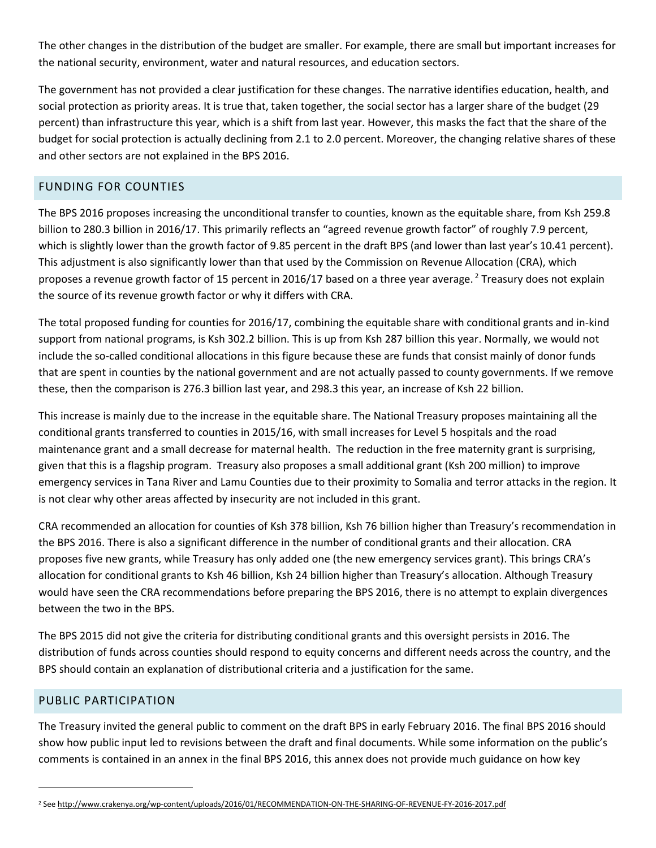The other changes in the distribution of the budget are smaller. For example, there are small but important increases for the national security, environment, water and natural resources, and education sectors.

The government has not provided a clear justification for these changes. The narrative identifies education, health, and social protection as priority areas. It is true that, taken together, the social sector has a larger share of the budget (29 percent) than infrastructure this year, which is a shift from last year. However, this masks the fact that the share of the budget for social protection is actually declining from 2.1 to 2.0 percent. Moreover, the changing relative shares of these and other sectors are not explained in the BPS 2016.

# FUNDING FOR COUNTIES

The BPS 2016 proposes increasing the unconditional transfer to counties, known as the equitable share, from Ksh 259.8 billion to 280.3 billion in 2016/17. This primarily reflects an "agreed revenue growth factor" of roughly 7.9 percent, which is slightly lower than the growth factor of 9.85 percent in the draft BPS (and lower than last year's 10.41 percent). This adjustment is also significantly lower than that used by the Commission on Revenue Allocation (CRA), which proposes a revenue growth factor of 15 percent in 2016/17 based on a three year average.<sup>2</sup> Treasury does not explain the source of its revenue growth factor or why it differs with CRA.

The total proposed funding for counties for 2016/17, combining the equitable share with conditional grants and in-kind support from national programs, is Ksh 302.2 billion. This is up from Ksh 287 billion this year. Normally, we would not include the so-called conditional allocations in this figure because these are funds that consist mainly of donor funds that are spent in counties by the national government and are not actually passed to county governments. If we remove these, then the comparison is 276.3 billion last year, and 298.3 this year, an increase of Ksh 22 billion.

This increase is mainly due to the increase in the equitable share. The National Treasury proposes maintaining all the conditional grants transferred to counties in 2015/16, with small increases for Level 5 hospitals and the road maintenance grant and a small decrease for maternal health. The reduction in the free maternity grant is surprising, given that this is a flagship program. Treasury also proposes a small additional grant (Ksh 200 million) to improve emergency services in Tana River and Lamu Counties due to their proximity to Somalia and terror attacks in the region. It is not clear why other areas affected by insecurity are not included in this grant.

CRA recommended an allocation for counties of Ksh 378 billion, Ksh 76 billion higher than Treasury's recommendation in the BPS 2016. There is also a significant difference in the number of conditional grants and their allocation. CRA proposes five new grants, while Treasury has only added one (the new emergency services grant). This brings CRA's allocation for conditional grants to Ksh 46 billion, Ksh 24 billion higher than Treasury's allocation. Although Treasury would have seen the CRA recommendations before preparing the BPS 2016, there is no attempt to explain divergences between the two in the BPS.

The BPS 2015 did not give the criteria for distributing conditional grants and this oversight persists in 2016. The distribution of funds across counties should respond to equity concerns and different needs across the country, and the BPS should contain an explanation of distributional criteria and a justification for the same.

## PUBLIC PARTICIPATION

-

The Treasury invited the general public to comment on the draft BPS in early February 2016. The final BPS 2016 should show how public input led to revisions between the draft and final documents. While some information on the public's comments is contained in an annex in the final BPS 2016, this annex does not provide much guidance on how key

<sup>2</sup> Se[e http://www.crakenya.org/wp-content/uploads/2016/01/RECOMMENDATION-ON-THE-SHARING-OF-REVENUE-FY-2016-2017.pdf](http://www.crakenya.org/wp-content/uploads/2016/01/RECOMMENDATION-ON-THE-SHARING-OF-REVENUE-FY-2016-2017.pdf)